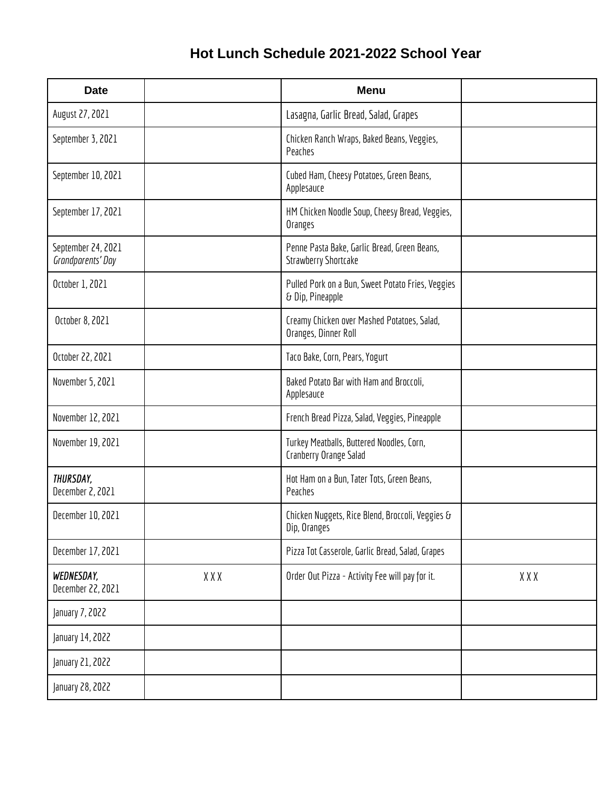## **Hot Lunch Schedule 2021-2022 School Year**

| <b>Date</b>                             |     | <b>Menu</b>                                                                 |     |
|-----------------------------------------|-----|-----------------------------------------------------------------------------|-----|
| August 27, 2021                         |     | Lasagna, Garlic Bread, Salad, Grapes                                        |     |
| September 3, 2021                       |     | Chicken Ranch Wraps, Baked Beans, Veggies,<br>Peaches                       |     |
| September 10, 2021                      |     | Cubed Ham, Cheesy Potatoes, Green Beans,<br>Applesauce                      |     |
| September 17, 2021                      |     | HM Chicken Noodle Soup, Cheesy Bread, Veggies,<br>Oranges                   |     |
| September 24, 2021<br>Grandparents' Day |     | Penne Pasta Bake, Garlic Bread, Green Beans,<br><b>Strawberry Shortcake</b> |     |
| October 1, 2021                         |     | Pulled Pork on a Bun, Sweet Potato Fries, Veggies<br>& Dip, Pineapple       |     |
| October 8, 2021                         |     | Creamy Chicken over Mashed Potatoes, Salad,<br>Oranges, Dinner Roll         |     |
| October 22, 2021                        |     | Taco Bake, Corn, Pears, Yogurt                                              |     |
| November 5, 2021                        |     | Baked Potato Bar with Ham and Broccoli,<br>Applesauce                       |     |
| November 12, 2021                       |     | French Bread Pizza, Salad, Veggies, Pineapple                               |     |
| November 19, 2021                       |     | Turkey Meatballs, Buttered Noodles, Corn,<br>Cranberry Orange Salad         |     |
| THURSDAY,<br>December 2, 2021           |     | Hot Ham on a Bun, Tater Tots, Green Beans,<br>Peaches                       |     |
| December 10, 2021                       |     | Chicken Nuggets, Rice Blend, Broccoli, Veggies &<br>Dip, Oranges            |     |
| December 17, 2021                       |     | Pizza Tot Casserole, Garlic Bread, Salad, Grapes                            |     |
| WEDNESDAY,<br>December 22, 2021         | XXX | Order Out Pizza - Activity Fee will pay for it.                             | XXX |
| January 7, 2022                         |     |                                                                             |     |
| January 14, 2022                        |     |                                                                             |     |
| January 21, 2022                        |     |                                                                             |     |
| January 28, 2022                        |     |                                                                             |     |